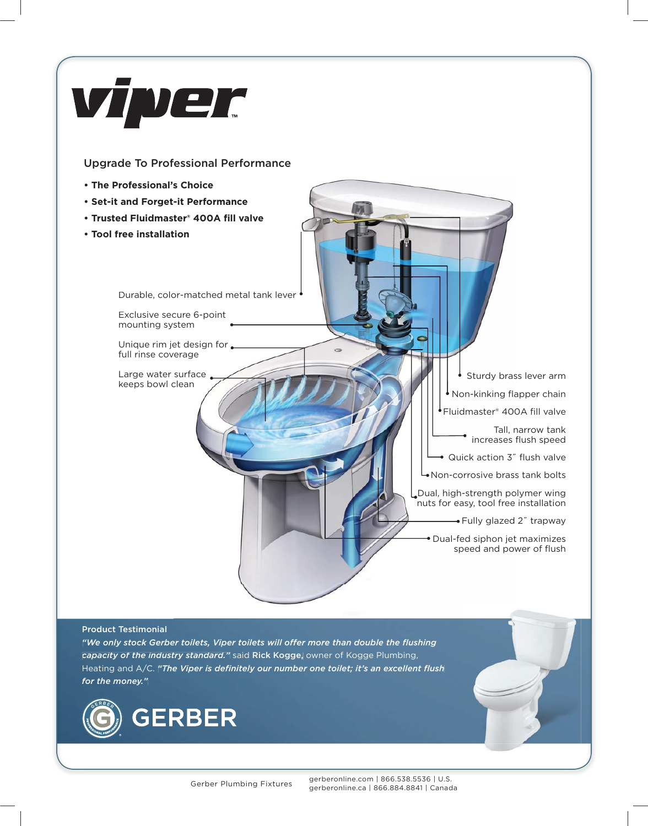

## Upgrade To Professional Performance

- **The Professional's Choice •**
- **Set-it and Forget-it Performance • Forget-it Performance**
- **Trusted Fluidmaster® 400A fill valve • Fluidmaster®**
- **Tool free installation •**

Durable, color-matched metal tank lever

Exclusive secure 6-point mounting system

Unique rim jet design for full rinse coverage

Large water surface. keeps bowl clean

Sturdy brass lever arm Non-kinking flapper chain Fluidmaster® 400A fill valve Tall, narrow tank tank increases flush speed Quick action 3" flush valve Non-corrosive brass tank bolts Dual, high-strength polymer wing nuts for easy, tool free installation Fully glazed 2" trapway

Dual-fed siphon jet maximizes speed and power of flush

## Product Testimonial

"We only stock Gerber toilets, Viper toilets will offer more than double the flushing capacity of the industry standard." said Rick Kogge, owner of Kogge Plumbing, Heating and A/C. *"The Viper is definitely our number one toilet; it's an excellent flush for the money."* able, color-matched metal tank lever<br>
usive secure 6-point<br>
runse coverage<br>
ge water surface<br>
ge water surface<br>
ge water surface<br>
so bowl clean<br>
te industry standard." Said Rick Kogge, owner of Kogge P<br>
A/C. "The Viper is